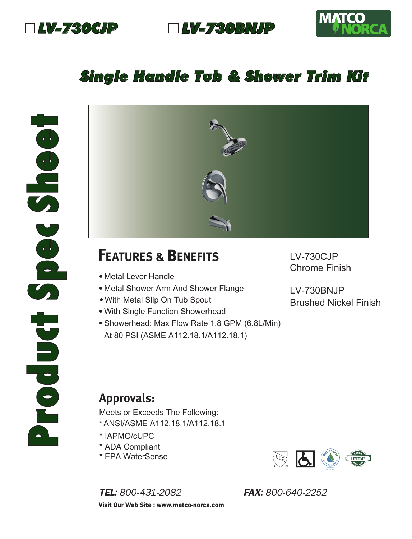

*LV-730CJP LV-730BNJP*



## *Single Handle Tub & Shower Trim Kit*



## **FEATURES & BENEFITS**

- Metal Lever Handle
- Metal Shower Arm And Shower Flange
- With Metal Slip On Tub Spout
- With Single Function Showerhead
- •Showerhead: Max Flow Rate 1.8 GPM (6.8L/Min) At 80 PSI (ASME A112.18.1/A112.18.1)

LV-730CJP Chrome Finish

LV-730BNJP Brushed Nickel Finish

## **Approvals:**

Meets or Exceeds The Following: \* ANSI/ASME A112.18.1/A112.18.1

- \* IAPMO/cUPC
- \* ADA Compliant
- \* EPA WaterSense

*TEL: 800-431-2082 FAX: 800-640-2252* Visit Our Web Site : www.matco-norca.com

 $\frac{\sqrt{3}}{2}$  $\overline{G}$ IAPMO R&T